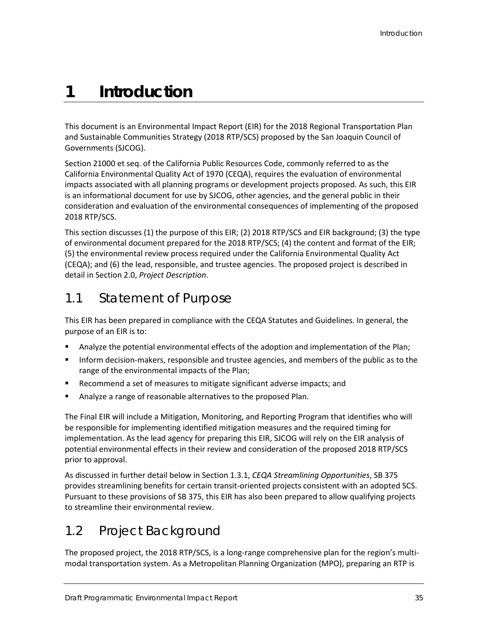# **1 Introduction**

This document is an Environmental Impact Report (EIR) for the 2018 Regional Transportation Plan and Sustainable Communities Strategy (2018 RTP/SCS) proposed by the San Joaquin Council of Governments (SJCOG).

Section 21000 et seq. of the California Public Resources Code, commonly referred to as the California Environmental Quality Act of 1970 (CEQA), requires the evaluation of environmental impacts associated with all planning programs or development projects proposed. As such, this EIR is an informational document for use by SJCOG, other agencies, and the general public in their consideration and evaluation of the environmental consequences of implementing of the proposed 2018 RTP/SCS.

This section discusses (1) the purpose of this EIR; (2) 2018 RTP/SCS and EIR background; (3) the type of environmental document prepared for the 2018 RTP/SCS; (4) the content and format of the EIR; (5) the environmental review process required under the California Environmental Quality Act (CEQA); and (6) the lead, responsible, and trustee agencies. The proposed project is described in detail in Section 2.0, *Project Description*.

## 1.1 Statement of Purpose

This EIR has been prepared in compliance with the CEQA Statutes and Guidelines. In general, the purpose of an EIR is to:

- Analyze the potential environmental effects of the adoption and implementation of the Plan;
- Inform decision-makers, responsible and trustee agencies, and members of the public as to the range of the environmental impacts of the Plan;
- Recommend a set of measures to mitigate significant adverse impacts; and
- **Analyze a range of reasonable alternatives to the proposed Plan.**

The Final EIR will include a Mitigation, Monitoring, and Reporting Program that identifies who will be responsible for implementing identified mitigation measures and the required timing for implementation. As the lead agency for preparing this EIR, SJCOG will rely on the EIR analysis of potential environmental effects in their review and consideration of the proposed 2018 RTP/SCS prior to approval.

As discussed in further detail below in Section 1.3.1, *CEQA Streamlining Opportunities*, SB 375 provides streamlining benefits for certain transit-oriented projects consistent with an adopted SCS. Pursuant to these provisions of SB 375, this EIR has also been prepared to allow qualifying projects to streamline their environmental review.

## 1.2 Project Background

The proposed project, the 2018 RTP/SCS, is a long-range comprehensive plan for the region's multimodal transportation system. As a Metropolitan Planning Organization (MPO), preparing an RTP is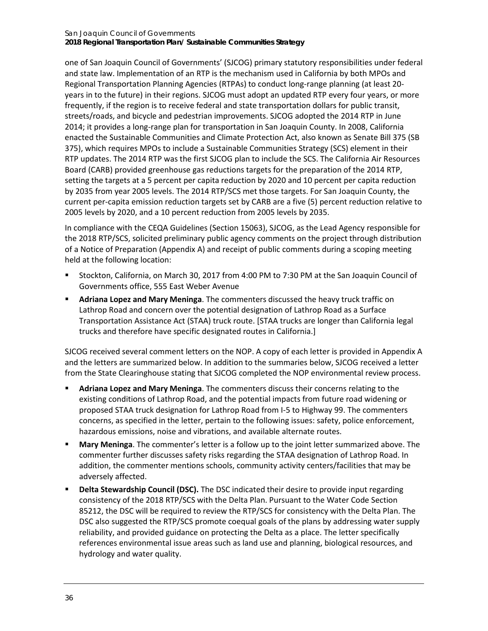#### San Joaquin Council of Governments **2018 Regional Transportation Plan/ Sustainable Communities Strategy**

one of San Joaquin Council of Governments' (SJCOG) primary statutory responsibilities under federal and state law. Implementation of an RTP is the mechanism used in California by both MPOs and Regional Transportation Planning Agencies (RTPAs) to conduct long-range planning (at least 20 years in to the future) in their regions. SJCOG must adopt an updated RTP every four years, or more frequently, if the region is to receive federal and state transportation dollars for public transit, streets/roads, and bicycle and pedestrian improvements. SJCOG adopted the 2014 RTP in June 2014; it provides a long-range plan for transportation in San Joaquin County. In 2008, California enacted the Sustainable Communities and Climate Protection Act, also known as Senate Bill 375 (SB 375), which requires MPOs to include a Sustainable Communities Strategy (SCS) element in their RTP updates. The 2014 RTP was the first SJCOG plan to include the SCS. The California Air Resources Board (CARB) provided greenhouse gas reductions targets for the preparation of the 2014 RTP, setting the targets at a 5 percent per capita reduction by 2020 and 10 percent per capita reduction by 2035 from year 2005 levels. The 2014 RTP/SCS met those targets. For San Joaquin County, the current per-capita emission reduction targets set by CARB are a five (5) percent reduction relative to 2005 levels by 2020, and a 10 percent reduction from 2005 levels by 2035.

In compliance with the CEQA Guidelines (Section 15063), SJCOG, as the Lead Agency responsible for the 2018 RTP/SCS, solicited preliminary public agency comments on the project through distribution of a Notice of Preparation (Appendix A) and receipt of public comments during a scoping meeting held at the following location:

- Stockton, California, on March 30, 2017 from 4:00 PM to 7:30 PM at the San Joaquin Council of Governments office, 555 East Weber Avenue
- **Adriana Lopez and Mary Meninga**. The commenters discussed the heavy truck traffic on Lathrop Road and concern over the potential designation of Lathrop Road as a Surface Transportation Assistance Act (STAA) truck route. [STAA trucks are longer than California legal trucks and therefore have specific designated routes in California.]

SJCOG received several comment letters on the NOP. A copy of each letter is provided in Appendix A and the letters are summarized below. In addition to the summaries below, SJCOG received a letter from the State Clearinghouse stating that SJCOG completed the NOP environmental review process.

- **Adriana Lopez and Mary Meninga**. The commenters discuss their concerns relating to the existing conditions of Lathrop Road, and the potential impacts from future road widening or proposed STAA truck designation for Lathrop Road from I-5 to Highway 99. The commenters concerns, as specified in the letter, pertain to the following issues: safety, police enforcement, hazardous emissions, noise and vibrations, and available alternate routes.
- **Mary Meninga**. The commenter's letter is a follow up to the joint letter summarized above. The commenter further discusses safety risks regarding the STAA designation of Lathrop Road. In addition, the commenter mentions schools, community activity centers/facilities that may be adversely affected.
- **Delta Stewardship Council (DSC).** The DSC indicated their desire to provide input regarding consistency of the 2018 RTP/SCS with the Delta Plan. Pursuant to the Water Code Section 85212, the DSC will be required to review the RTP/SCS for consistency with the Delta Plan. The DSC also suggested the RTP/SCS promote coequal goals of the plans by addressing water supply reliability, and provided guidance on protecting the Delta as a place. The letter specifically references environmental issue areas such as land use and planning, biological resources, and hydrology and water quality.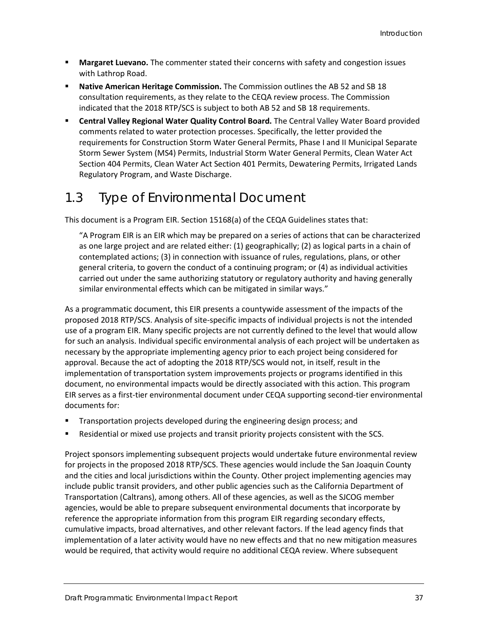- **Margaret Luevano.** The commenter stated their concerns with safety and congestion issues with Lathrop Road.
- **Native American Heritage Commission.** The Commission outlines the AB 52 and SB 18 consultation requirements, as they relate to the CEQA review process. The Commission indicated that the 2018 RTP/SCS is subject to both AB 52 and SB 18 requirements.
- **Central Valley Regional Water Quality Control Board.** The Central Valley Water Board provided comments related to water protection processes. Specifically, the letter provided the requirements for Construction Storm Water General Permits, Phase I and II Municipal Separate Storm Sewer System (MS4) Permits, Industrial Storm Water General Permits, Clean Water Act Section 404 Permits, Clean Water Act Section 401 Permits, Dewatering Permits, Irrigated Lands Regulatory Program, and Waste Discharge.

## 1.3 Type of Environmental Document

This document is a Program EIR. Section 15168(a) of the CEQA Guidelines states that:

"A Program EIR is an EIR which may be prepared on a series of actions that can be characterized as one large project and are related either: (1) geographically; (2) as logical parts in a chain of contemplated actions; (3) in connection with issuance of rules, regulations, plans, or other general criteria, to govern the conduct of a continuing program; or (4) as individual activities carried out under the same authorizing statutory or regulatory authority and having generally similar environmental effects which can be mitigated in similar ways."

As a programmatic document, this EIR presents a countywide assessment of the impacts of the proposed 2018 RTP/SCS. Analysis of site-specific impacts of individual projects is not the intended use of a program EIR. Many specific projects are not currently defined to the level that would allow for such an analysis. Individual specific environmental analysis of each project will be undertaken as necessary by the appropriate implementing agency prior to each project being considered for approval. Because the act of adopting the 2018 RTP/SCS would not, in itself, result in the implementation of transportation system improvements projects or programs identified in this document, no environmental impacts would be directly associated with this action. This program EIR serves as a first-tier environmental document under CEQA supporting second-tier environmental documents for:

- **Transportation projects developed during the engineering design process; and**
- **Residential or mixed use projects and transit priority projects consistent with the SCS.**

Project sponsors implementing subsequent projects would undertake future environmental review for projects in the proposed 2018 RTP/SCS. These agencies would include the San Joaquin County and the cities and local jurisdictions within the County. Other project implementing agencies may include public transit providers, and other public agencies such as the California Department of Transportation (Caltrans), among others. All of these agencies, as well as the SJCOG member agencies, would be able to prepare subsequent environmental documents that incorporate by reference the appropriate information from this program EIR regarding secondary effects, cumulative impacts, broad alternatives, and other relevant factors. If the lead agency finds that implementation of a later activity would have no new effects and that no new mitigation measures would be required, that activity would require no additional CEQA review. Where subsequent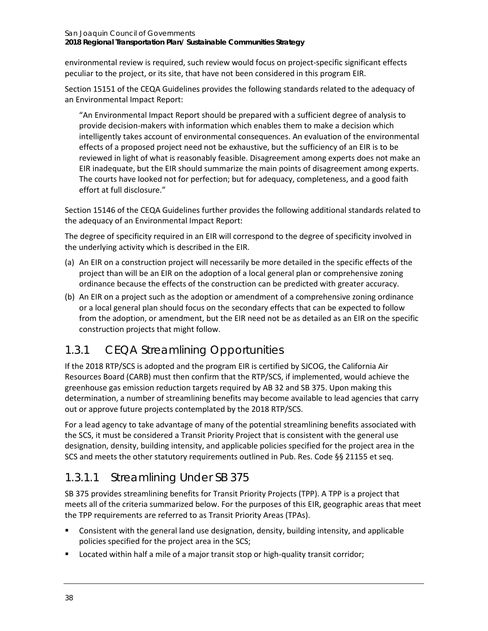#### San Joaquin Council of Governments **2018 Regional Transportation Plan/ Sustainable Communities Strategy**

environmental review is required, such review would focus on project-specific significant effects peculiar to the project, or its site, that have not been considered in this program EIR.

Section 15151 of the CEQA Guidelines provides the following standards related to the adequacy of an Environmental Impact Report:

"An Environmental Impact Report should be prepared with a sufficient degree of analysis to provide decision-makers with information which enables them to make a decision which intelligently takes account of environmental consequences. An evaluation of the environmental effects of a proposed project need not be exhaustive, but the sufficiency of an EIR is to be reviewed in light of what is reasonably feasible. Disagreement among experts does not make an EIR inadequate, but the EIR should summarize the main points of disagreement among experts. The courts have looked not for perfection; but for adequacy, completeness, and a good faith effort at full disclosure."

Section 15146 of the CEQA Guidelines further provides the following additional standards related to the adequacy of an Environmental Impact Report:

The degree of specificity required in an EIR will correspond to the degree of specificity involved in the underlying activity which is described in the EIR.

- (a) An EIR on a construction project will necessarily be more detailed in the specific effects of the project than will be an EIR on the adoption of a local general plan or comprehensive zoning ordinance because the effects of the construction can be predicted with greater accuracy.
- (b) An EIR on a project such as the adoption or amendment of a comprehensive zoning ordinance or a local general plan should focus on the secondary effects that can be expected to follow from the adoption, or amendment, but the EIR need not be as detailed as an EIR on the specific construction projects that might follow.

### 1.3.1 CEQA Streamlining Opportunities

If the 2018 RTP/SCS is adopted and the program EIR is certified by SJCOG, the California Air Resources Board (CARB) must then confirm that the RTP/SCS, if implemented, would achieve the greenhouse gas emission reduction targets required by AB 32 and SB 375. Upon making this determination, a number of streamlining benefits may become available to lead agencies that carry out or approve future projects contemplated by the 2018 RTP/SCS.

For a lead agency to take advantage of many of the potential streamlining benefits associated with the SCS, it must be considered a Transit Priority Project that is consistent with the general use designation, density, building intensity, and applicable policies specified for the project area in the SCS and meets the other statutory requirements outlined in Pub. Res. Code §§ 21155 et seq.

### *1.3.1.1 Streamlining Under SB 375*

SB 375 provides streamlining benefits for Transit Priority Projects (TPP). A TPP is a project that meets all of the criteria summarized below. For the purposes of this EIR, geographic areas that meet the TPP requirements are referred to as Transit Priority Areas (TPAs).

- Consistent with the general land use designation, density, building intensity, and applicable policies specified for the project area in the SCS;
- Located within half a mile of a major transit stop or high-quality transit corridor;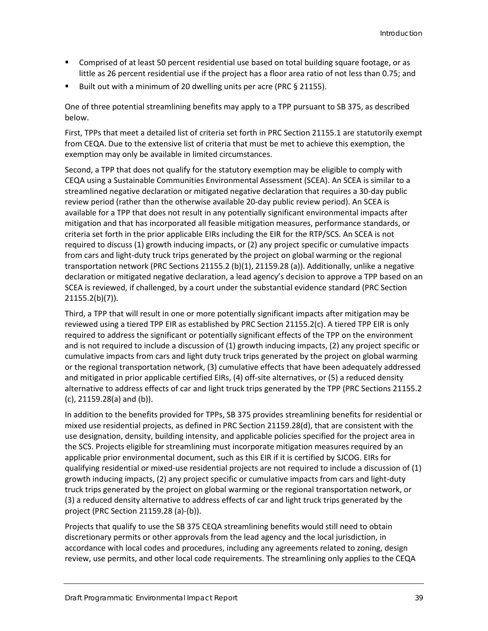- Comprised of at least 50 percent residential use based on total building square footage, or as little as 26 percent residential use if the project has a floor area ratio of not less than 0.75; and
- Built out with a minimum of 20 dwelling units per acre (PRC § 21155).

One of three potential streamlining benefits may apply to a TPP pursuant to SB 375, as described below.

First, TPPs that meet a detailed list of criteria set forth in PRC Section 21155.1 are statutorily exempt from CEQA. Due to the extensive list of criteria that must be met to achieve this exemption, the exemption may only be available in limited circumstances.

Second, a TPP that does not qualify for the statutory exemption may be eligible to comply with CEQA using a Sustainable Communities Environmental Assessment (SCEA). An SCEA is similar to a streamlined negative declaration or mitigated negative declaration that requires a 30-day public review period (rather than the otherwise available 20-day public review period). An SCEA is available for a TPP that does not result in any potentially significant environmental impacts after mitigation and that has incorporated all feasible mitigation measures, performance standards, or criteria set forth in the prior applicable EIRs including the EIR for the RTP/SCS. An SCEA is not required to discuss (1) growth inducing impacts, or (2) any project specific or cumulative impacts from cars and light-duty truck trips generated by the project on global warming or the regional transportation network (PRC Sections 21155.2 (b)(1), 21159.28 (a)). Additionally, unlike a negative declaration or mitigated negative declaration, a lead agency's decision to approve a TPP based on an SCEA is reviewed, if challenged, by a court under the substantial evidence standard (PRC Section 21155.2(b)(7)).

Third, a TPP that will result in one or more potentially significant impacts after mitigation may be reviewed using a tiered TPP EIR as established by PRC Section 21155.2(c). A tiered TPP EIR is only required to address the significant or potentially significant effects of the TPP on the environment and is not required to include a discussion of (1) growth inducing impacts, (2) any project specific or cumulative impacts from cars and light duty truck trips generated by the project on global warming or the regional transportation network, (3) cumulative effects that have been adequately addressed and mitigated in prior applicable certified EIRs, (4) off-site alternatives, or (5) a reduced density alternative to address effects of car and light truck trips generated by the TPP (PRC Sections 21155.2 (c), 21159.28(a) and (b)).

In addition to the benefits provided for TPPs, SB 375 provides streamlining benefits for residential or mixed use residential projects, as defined in PRC Section 21159.28(d), that are consistent with the use designation, density, building intensity, and applicable policies specified for the project area in the SCS. Projects eligible for streamlining must incorporate mitigation measures required by an applicable prior environmental document, such as this EIR if it is certified by SJCOG. EIRs for qualifying residential or mixed-use residential projects are not required to include a discussion of (1) growth inducing impacts, (2) any project specific or cumulative impacts from cars and light-duty truck trips generated by the project on global warming or the regional transportation network, or (3) a reduced density alternative to address effects of car and light truck trips generated by the project (PRC Section 21159.28 (a)-(b)).

Projects that qualify to use the SB 375 CEQA streamlining benefits would still need to obtain discretionary permits or other approvals from the lead agency and the local jurisdiction, in accordance with local codes and procedures, including any agreements related to zoning, design review, use permits, and other local code requirements. The streamlining only applies to the CEQA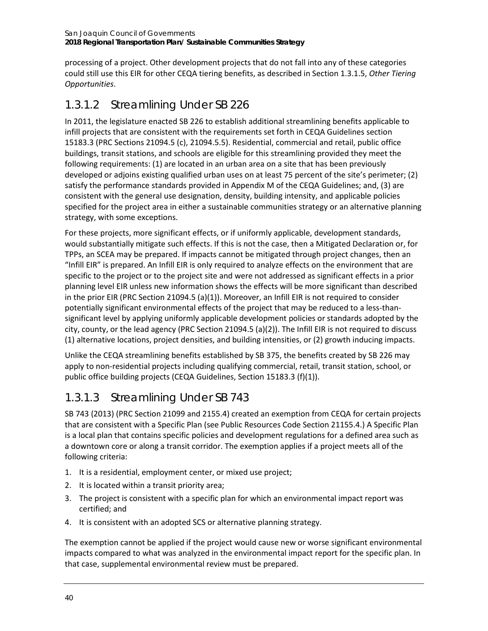processing of a project. Other development projects that do not fall into any of these categories could still use this EIR for other CEQA tiering benefits, as described in Section 1.3.1.5, *Other Tiering Opportunities*.

### *1.3.1.2 Streamlining Under SB 226*

In 2011, the legislature enacted SB 226 to establish additional streamlining benefits applicable to infill projects that are consistent with the requirements set forth in CEQA Guidelines section 15183.3 (PRC Sections 21094.5 (c), 21094.5.5). Residential, commercial and retail, public office buildings, transit stations, and schools are eligible for this streamlining provided they meet the following requirements: (1) are located in an urban area on a site that has been previously developed or adjoins existing qualified urban uses on at least 75 percent of the site's perimeter; (2) satisfy the performance standards provided in Appendix M of the CEQA Guidelines; and, (3) are consistent with the general use designation, density, building intensity, and applicable policies specified for the project area in either a sustainable communities strategy or an alternative planning strategy, with some exceptions.

For these projects, more significant effects, or if uniformly applicable, development standards, would substantially mitigate such effects. If this is not the case, then a Mitigated Declaration or, for TPPs, an SCEA may be prepared. If impacts cannot be mitigated through project changes, then an "Infill EIR" is prepared. An Infill EIR is only required to analyze effects on the environment that are specific to the project or to the project site and were not addressed as significant effects in a prior planning level EIR unless new information shows the effects will be more significant than described in the prior EIR (PRC Section 21094.5 (a)(1)). Moreover, an Infill EIR is not required to consider potentially significant environmental effects of the project that may be reduced to a less-thansignificant level by applying uniformly applicable development policies or standards adopted by the city, county, or the lead agency (PRC Section 21094.5 (a)(2)). The Infill EIR is not required to discuss (1) alternative locations, project densities, and building intensities, or (2) growth inducing impacts.

Unlike the CEQA streamlining benefits established by SB 375, the benefits created by SB 226 may apply to non-residential projects including qualifying commercial, retail, transit station, school, or public office building projects (CEQA Guidelines, Section 15183.3 (f)(1)).

## *1.3.1.3 Streamlining Under SB 743*

SB 743 (2013) (PRC Section 21099 and 2155.4) created an exemption from CEQA for certain projects that are consistent with a Specific Plan (see Public Resources Code Section 21155.4.) A Specific Plan is a local plan that contains specific policies and development regulations for a defined area such as a downtown core or along a transit corridor. The exemption applies if a project meets all of the following criteria:

- 1. It is a residential, employment center, or mixed use project;
- 2. It is located within a transit priority area;
- 3. The project is consistent with a specific plan for which an environmental impact report was certified; and
- 4. It is consistent with an adopted SCS or alternative planning strategy.

The exemption cannot be applied if the project would cause new or worse significant environmental impacts compared to what was analyzed in the environmental impact report for the specific plan. In that case, supplemental environmental review must be prepared.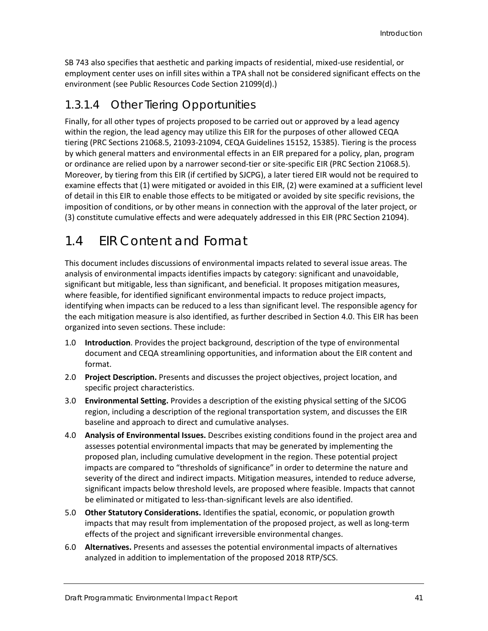SB 743 also specifies that aesthetic and parking impacts of residential, mixed-use residential, or employment center uses on infill sites within a TPA shall not be considered significant effects on the environment (see Public Resources Code Section 21099(d).)

#### *1.3.1.4 Other Tiering Opportunities*

Finally, for all other types of projects proposed to be carried out or approved by a lead agency within the region, the lead agency may utilize this EIR for the purposes of other allowed CEQA tiering (PRC Sections 21068.5, 21093-21094, CEQA Guidelines 15152, 15385). Tiering is the process by which general matters and environmental effects in an EIR prepared for a policy, plan, program or ordinance are relied upon by a narrower second-tier or site-specific EIR (PRC Section 21068.5). Moreover, by tiering from this EIR (if certified by SJCPG), a later tiered EIR would not be required to examine effects that (1) were mitigated or avoided in this EIR, (2) were examined at a sufficient level of detail in this EIR to enable those effects to be mitigated or avoided by site specific revisions, the imposition of conditions, or by other means in connection with the approval of the later project, or (3) constitute cumulative effects and were adequately addressed in this EIR (PRC Section 21094).

## 1.4 EIR Content and Format

This document includes discussions of environmental impacts related to several issue areas. The analysis of environmental impacts identifies impacts by category: significant and unavoidable, significant but mitigable, less than significant, and beneficial. It proposes mitigation measures, where feasible, for identified significant environmental impacts to reduce project impacts, identifying when impacts can be reduced to a less than significant level. The responsible agency for the each mitigation measure is also identified, as further described in Section 4.0. This EIR has been organized into seven sections. These include:

- 1.0 **Introduction**. Provides the project background, description of the type of environmental document and CEQA streamlining opportunities, and information about the EIR content and format.
- 2.0 **Project Description.** Presents and discusses the project objectives, project location, and specific project characteristics.
- 3.0 **Environmental Setting.** Provides a description of the existing physical setting of the SJCOG region, including a description of the regional transportation system, and discusses the EIR baseline and approach to direct and cumulative analyses.
- 4.0 **Analysis of Environmental Issues.** Describes existing conditions found in the project area and assesses potential environmental impacts that may be generated by implementing the proposed plan, including cumulative development in the region. These potential project impacts are compared to "thresholds of significance" in order to determine the nature and severity of the direct and indirect impacts. Mitigation measures, intended to reduce adverse, significant impacts below threshold levels, are proposed where feasible. Impacts that cannot be eliminated or mitigated to less-than-significant levels are also identified.
- 5.0 **Other Statutory Considerations.** Identifies the spatial, economic, or population growth impacts that may result from implementation of the proposed project, as well as long-term effects of the project and significant irreversible environmental changes.
- 6.0 **Alternatives.** Presents and assesses the potential environmental impacts of alternatives analyzed in addition to implementation of the proposed 2018 RTP/SCS.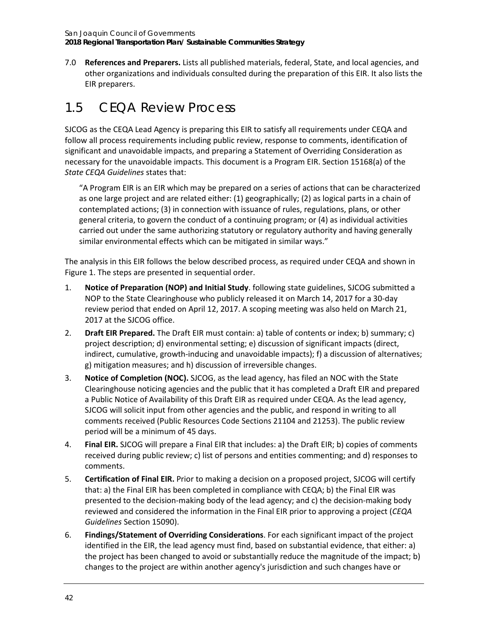7.0 **References and Preparers.** Lists all published materials, federal, State, and local agencies, and other organizations and individuals consulted during the preparation of this EIR. It also lists the EIR preparers.

## 1.5 CEQA Review Process

SJCOG as the CEQA Lead Agency is preparing this EIR to satisfy all requirements under CEQA and follow all process requirements including public review, response to comments, identification of significant and unavoidable impacts, and preparing a Statement of Overriding Consideration as necessary for the unavoidable impacts. This document is a Program EIR. Section 15168(a) of the *State CEQA Guidelines* states that:

"A Program EIR is an EIR which may be prepared on a series of actions that can be characterized as one large project and are related either: (1) geographically; (2) as logical parts in a chain of contemplated actions; (3) in connection with issuance of rules, regulations, plans, or other general criteria, to govern the conduct of a continuing program; or (4) as individual activities carried out under the same authorizing statutory or regulatory authority and having generally similar environmental effects which can be mitigated in similar ways."

The analysis in this EIR follows the below described process, as required under CEQA and shown in [Figure 1.](#page-9-0) The steps are presented in sequential order.

- 1. **Notice of Preparation (NOP) and Initial Study**. following state guidelines, SJCOG submitted a NOP to the State Clearinghouse who publicly released it on March 14, 2017 for a 30-day review period that ended on April 12, 2017. A scoping meeting was also held on March 21, 2017 at the SJCOG office.
- 2. **Draft EIR Prepared.** The Draft EIR must contain: a) table of contents or index; b) summary; c) project description; d) environmental setting; e) discussion of significant impacts (direct, indirect, cumulative, growth-inducing and unavoidable impacts); f) a discussion of alternatives; g) mitigation measures; and h) discussion of irreversible changes.
- 3. **Notice of Completion (NOC).** SJCOG, as the lead agency, has filed an NOC with the State Clearinghouse noticing agencies and the public that it has completed a Draft EIR and prepared a Public Notice of Availability of this Draft EIR as required under CEQA. As the lead agency, SJCOG will solicit input from other agencies and the public, and respond in writing to all comments received (Public Resources Code Sections 21104 and 21253). The public review period will be a minimum of 45 days.
- 4. **Final EIR.** SJCOG will prepare a Final EIR that includes: a) the Draft EIR; b) copies of comments received during public review; c) list of persons and entities commenting; and d) responses to comments.
- 5. **Certification of Final EIR.** Prior to making a decision on a proposed project, SJCOG will certify that: a) the Final EIR has been completed in compliance with CEQA; b) the Final EIR was presented to the decision-making body of the lead agency; and c) the decision-making body reviewed and considered the information in the Final EIR prior to approving a project (*CEQA Guidelines* Section 15090).
- 6. **Findings/Statement of Overriding Considerations**. For each significant impact of the project identified in the EIR, the lead agency must find, based on substantial evidence, that either: a) the project has been changed to avoid or substantially reduce the magnitude of the impact; b) changes to the project are within another agency's jurisdiction and such changes have or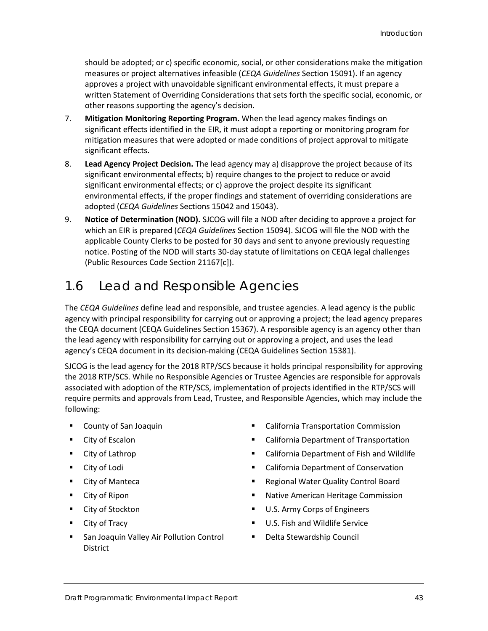should be adopted; or c) specific economic, social, or other considerations make the mitigation measures or project alternatives infeasible (*CEQA Guidelines* Section 15091). If an agency approves a project with unavoidable significant environmental effects, it must prepare a written Statement of Overriding Considerations that sets forth the specific social, economic, or other reasons supporting the agency's decision.

- 7. **Mitigation Monitoring Reporting Program.** When the lead agency makes findings on significant effects identified in the EIR, it must adopt a reporting or monitoring program for mitigation measures that were adopted or made conditions of project approval to mitigate significant effects.
- 8. **Lead Agency Project Decision.** The lead agency may a) disapprove the project because of its significant environmental effects; b) require changes to the project to reduce or avoid significant environmental effects; or c) approve the project despite its significant environmental effects, if the proper findings and statement of overriding considerations are adopted (*CEQA Guidelines* Sections 15042 and 15043).
- 9. **Notice of Determination (NOD).** SJCOG will file a NOD after deciding to approve a project for which an EIR is prepared (*CEQA Guidelines* Section 15094). SJCOG will file the NOD with the applicable County Clerks to be posted for 30 days and sent to anyone previously requesting notice. Posting of the NOD will starts 30-day statute of limitations on CEQA legal challenges (Public Resources Code Section 21167[c]).

## 1.6 Lead and Responsible Agencies

The *CEQA Guidelines* define lead and responsible, and trustee agencies. A lead agency is the public agency with principal responsibility for carrying out or approving a project; the lead agency prepares the CEQA document (CEQA Guidelines Section 15367). A responsible agency is an agency other than the lead agency with responsibility for carrying out or approving a project, and uses the lead agency's CEQA document in its decision-making (CEQA Guidelines Section 15381).

SJCOG is the lead agency for the 2018 RTP/SCS because it holds principal responsibility for approving the 2018 RTP/SCS. While no Responsible Agencies or Trustee Agencies are responsible for approvals associated with adoption of the RTP/SCS, implementation of projects identified in the RTP/SCS will require permits and approvals from Lead, Trustee, and Responsible Agencies, which may include the following:

- 
- 
- 
- 
- 
- 
- 
- 
- **San Joaquin Valley Air Pollution Control** District
- County of San Joaquin California Transportation Commission
- City of Escalon **California Department of Transportation**
- **City of Lathrop California Department of Fish and Wildlife**
- **City of Lodi California Department of Conservation California Department of Conservation**
- City of Manteca **Regional Water Quality Control Board**
- **Example 2** City of Ripon **City of Ripon 1999 City of Ripon Native American Heritage Commission**
- City of Stockton U.S. Army Corps of Engineers
	- City of Tracy U.S. Fish and Wildlife Service
		- Delta Stewardship Council